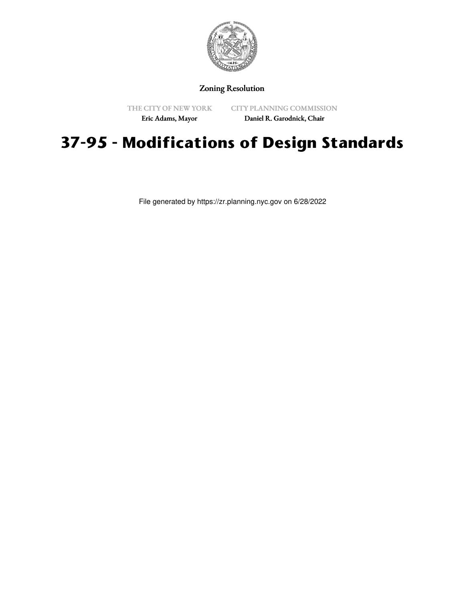

## Zoning Resolution

THE CITY OF NEW YORK Eric Adams, Mayor

CITY PLANNING COMMISSION

Daniel R. Garodnick, Chair

## **37-95 - Modifications of Design Standards**

File generated by https://zr.planning.nyc.gov on 6/28/2022